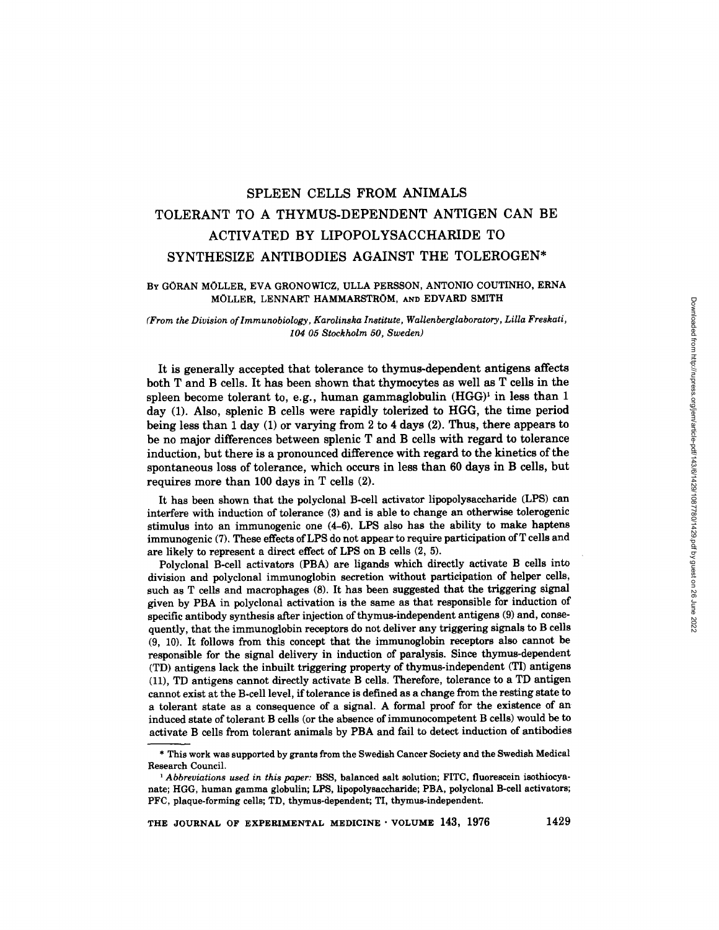# SPLEEN CELLS FROM ANIMALS TOLERANT TO A THYMUS-DEPENDENT ANTIGEN CAN BE ACTIVATED BY LIPOPOLYSACCHARIDE TO SYNTHESIZE ANTIBODIES AGAINST THE TOLEROGEN\*

# BY GORAN MOLLER, EVA GRONOWICZ, ULLA PERSSON, ANTONIO COUTINHO, ERNA MÖLLER, LENNART HAMMARSTRÖM, AND EDVARD SMITH

## *(From the Division of Immunobiology, Karolinska Institute, Wallenberglaboratory, LiUa Freskati, 104 05 Stockholm 50, Sweden)*

It is generally accepted that tolerance to thymus-dependent antigens affects both T and B cells. It has been shown that thymocytes as well as T cells in the spleen become tolerant to, e.g., human gammaglobulin  $(HGG)^{1}$  in less than 1 day (1). Also, splenic B cells were rapidly tolerized to HGG, the time period being less than I day (1) or varying from 2 to 4 days (2). Thus, there appears to be no major differences between splenic T and B cells with regard to tolerance induction, but there is a pronounced difference with regard to the kinetics of the spontaneous loss of tolerance, which occurs in less than 60 days in B cells, but requires more than 100 days in T cells (2).

It has been shown that the polyclonal B-cell activator lipopolysaccharide (LPS) can interfere with induction of tolerance (3) and is able to change an otherwise tolerogenic stimulus into an immunogenic one (4-6). LPS also has the ability to make haptens immunogenic (7). These effects of LPS do not appear to require participation of T cells and are likely to represent a direct effect of LPS on B cells (2, 5).

Polyclonal B-cell activators (PBA) are ligands which directly activate B cells into division and polyclonal immunoglobin secretion without participation of helper cells, such as T cells and macrophages (8). It has been suggested that the triggering signal given by PBA in pelyclonal activation is the same as that responsible for induction of specific antibody synthesis after injection of thymus-independent antigens (9) and, consequently, that the immunogtobin receptors do not deliver any triggering signals to B cells (9, 10). It follows from this concept that the immunoglobin receptors also cannot be responsible for the signal delivery in induction of paralysis. Since thymus-dependent (TD) antigens lack the inbuilt triggering property of thymus-independent (TI) antigens (11), TD antigens cannot directly activate B cells. Therefore, tolerance to a TD antigen cannot exist at the B-cell level, if tolerance is defined as a change from the resting state to a tolerant state as a consequence of a signal. A formal proof for the existence of an induced state of tolerant B cells (or the absence of immunecompetent B cells) would be to activate B cells from tolerant animals by PBA and fail to detect induction of antibodies

<sup>\*</sup> This work was supported by grants from the Swedish Cancer Society and the Swedish Medical Research Council.

*<sup>1</sup> Abbreviations used in this paper:* BSS, balanced salt solution; FITC, fluorescein isothiocyahate; HGG, human gamma globulin; LPS, lipopolysaccharide; PBA, polyclonal B-cell activators; PFC, plaque-forming cells; TD, thymus-dependent; TI, thymus-independent.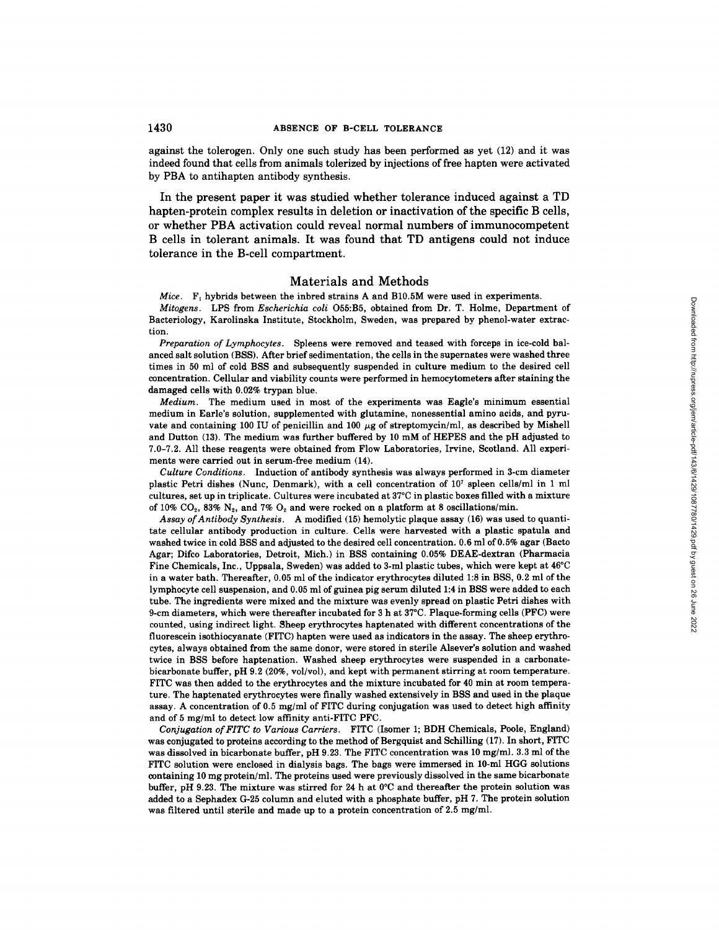against the tolerogen. Only one such study has been performed as yet (12) and it was indeed found that cells from animals tolerized by injections of free hapten were activated by PBA to antihapten antibody synthesis.

In the present paper it was studied whether tolerance induced against a TD hapten-protein complex results in deletion or inactivation of the specific B cells, or whether PBA activation could reveal normal numbers of immunocompetent B cells in tolerant animals. It was found that TD antigens could not induce tolerance in the B-cell compartment.

#### Materials and Methods

*Mice.*  $F_1$  hybrids between the inbred strains A and B10.5M were used in experiments.

*Mitogens.* LPS from *Escherichia coli* O55:B5, obtained from Dr. T. Holme, Department of Bacteriology, Karolinska Institute, Stockholm, Sweden, was prepared by phenol-water extraction.

*Preparation of Lymphocytes.* Spleens were removed and teased with forceps in ice-cold balanced salt solution (BSS). After brief sedimentation, the cells in the supernates were washed three times in 50 ml of cold BSS and subsequently suspended in culture medium to the desired cell concentration. Cellular and viability counts were performed in hemocytometers after staining the damaged cells with 0.02% trypan blue.

*Medium.* The medium used in most of the experiments was Eagle's minimum essential medium in Earle's solution, supplemented with glutamine, nonessential amino acids, and pyruvate and containing 100 IU of penicillin and 100  $\mu$ g of streptomycin/ml, as described by Mishell and Dutton (13). The medium was further buffered by 10 mM of HEPES and the pH adjusted to 7.0-7.2. All these reagents were obtained from Flow Laboratories, Irvine, Scotland. All experiments were carried out in serum-free medium (14).

*Culture Conditions.* Induction of antibody synthesis was always performed in 3-cm diameter plastic Petri dishes (Nunc, Denmark), with a cell concentration of 107 spleen cells/ml in 1 ml cultures, set up in triplicate. Cultures were incubated at 37°C in plastic boxes filled with a mixture of 10% CO<sub>2</sub>, 83% N<sub>2</sub>, and 7% O<sub>2</sub> and were rocked on a platform at 8 oscillations/min.

*Assay of Antibody Synthesis.* A modified (15) hemolytic plaque assay (16) was used to quantitate cellular antibody production in culture. Cells were harvested with a plastic spatula and washed twice in cold BSS and adjusted to the desired cell concentration. 0.6 ml of 0.5% agar (Bacto Agar; Difco Laboratories, Detroit, Mich.) in BSS containing 0.05% DEAE-dextran (Pharmacia Fine Chemicals, Inc., Uppeala, Sweden) was added to 3-ml plastic tubes, which were kept at 46°C in a water bath. Thereafter, 0.05 ml of the indicator erythrocytes diluted 1:8 in BSS, 0.2 ml of the lymphocyte cell suspension, and 0.05 ml of guinea pig serum diluted 1:4 in BSS were added to each tube. The ingredients were mixed and the mixture was evenly spread on plastic Petri dishes with 9-cm diameters, which were thereafter incubated for 3 h at 37°C. Plaque-forming cells (PFC) were counted, using indirect light. Sheep erythrocytes haptenated with different concentrations of the fluorescein isothiocyanate (FITC) hapten were used as indicators in the assay. The sheep erythrocytes, always obtained from the same donor, were stored in sterile Alsever's solution and washed twice in BSS before haptenation. Washed sheep erythrocytes were suspended in a carbonatebicarbonate buffer, pH 9.2 (20%, vol/vol), and kept with permanent stirring at room temperature. FITC was then added to the erythrocytes and the mixture incubated for 40 min at room temperature. The haptenated erythrocytes were finally washed extensively in BSS and used in the plaque assay. A concentration of 0.5 mg/ml of FITC during conjugation was used to detect high affinity and of 5 mg/ml to detect low affinity anti-FITC PFC.

*Conjugation of FITC to Various Carriers.* FITC (Isomer 1; BDH Chemicals, Poole, England) was conjugated to proteins according to the method of Bergquist and Schilling (17). In short, FITC was dissolved in bicarbonate buffer, pH 9.23. The FITC concentration was 10 mg/ml. 3.3 ml of the FITC solution were enclosed in dialysis bags. The bags were immersed in 10-ml HGG solutions containing 10 mg protein/ml. The proteins used were previously dissolved in the same bicarbonate buffer, pH 9.23. The mixture was stirred for 24 h at 0°C and thereafter the protein solution was added to a Sephadex G-25 column and eluted with a phosphate buffer, pH 7. The protein solution was filtered until sterile and made up to a protein concentration of 2.5 mg/ml.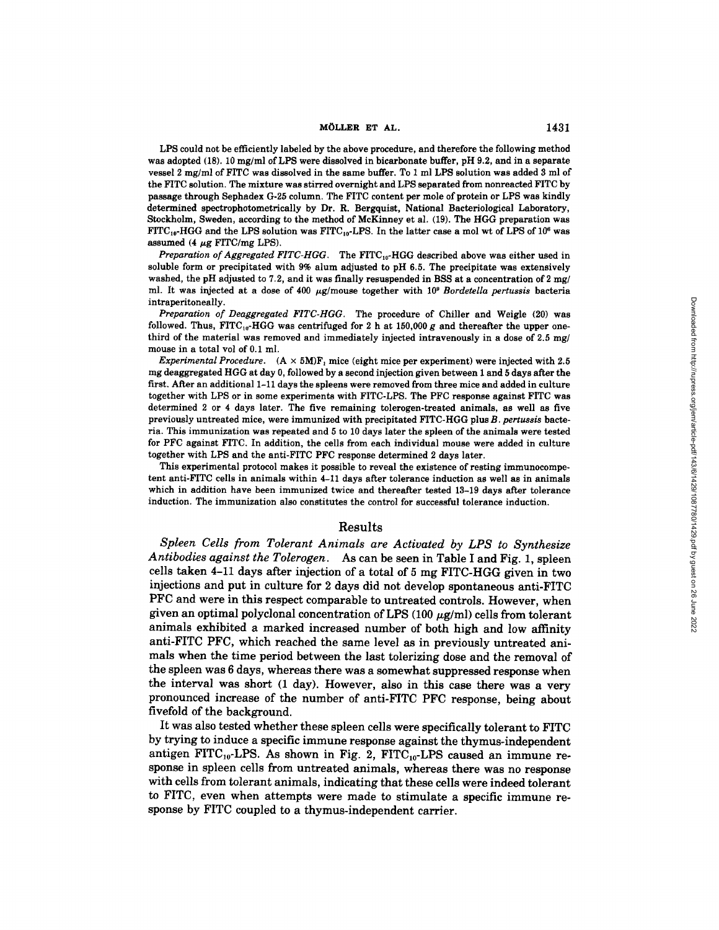**M~LLER ET AL.** 1431

LPS could not be efficiently labeled by the above procedure, and therefore the following method was adopted (18). 10 mg/m] of LPS were dissolved in bicarbonate buffer, pH 9.2, and in a separate vessel 2 mg/ml of FITC was dissolved in the same buffer. To 1 ml LPS solution was added 3 ml of the FITC solution. The mixture was stirred overnight and LPS separated from nonreacted FITC by passage through Sephadex G-25 column. The FITC content per mole of protein or LPS was kindly determined spectrophotometrically by Dr. R. Bergquist, National Bacteriological Laboratory, Stockholm, Sweden, according to the *method* of McKinney et al. (19). The HGG preparation was  $\text{FTTC}_{10}\text{-HGG}$  and the LPS solution was  $\text{FTTC}_{10}\text{-LPS}$ . In the latter case a mol wt of LPS of  $10^6$  was assumed  $(4~\mu$ g FITC/mg LPS).

*Preparation of Aggregated FITC-HGG.* The FITC<sub>10</sub>-HGG described above was either used in soluble form or precipitated with 9% alum adjusted to pH 6.5. The precipitate was extensively washed, the pH adjusted to 7.2, and it was finally resuspended in BSS at a concentration of 2 mg/ ml. It was injected at a dose of 400  $\mu$ g/mouse together with 10<sup>9</sup> *Bordetella pertussis* bacteria intraperitoneally.

*Preparation of Deaggregated F1TC-HGG.* The procedure of Chiller and Weigle (20) was followed. Thus, FITC<sub>10</sub>-HGG was centrifuged for 2 h at 150,000 g and thereafter the upper onethird of the material was removed and immediately injected intravenously in a dose of 2.5  $mg/$ mouse in a total vol of 0.1 ml.

*Experimental Procedure.*  $(A \times 5M)F_1$  mice (eight mice per experiment) were injected with 2.5 mg deaggregated HGG at day 0, followed by a second injection given between 1 and 5 days after the first. After an additional 1-11 days the spleens were removed from three mice and added in culture together with LPS or in some experiments with FITC-LPS. The PFC response against FITC was determined 2 or 4 days later. The five remaining tolerogen-treated animals, as well as five previously untreated mice, were immunized with precipitated FITC-HGG plus *B. pertussis* bacteria. This immunization was repeated and 5 to 10 days later the spleen of the animals were tested for PFC against FITC. In addition, the cells from each individual mouse were added in culture together with LPS and the anti-FITC PFC response determined 2 days later.

This experimental protocol makes it possible to reveal the existence of resting immunocompetent anti-FITC cells in animals within 4-11 days after tolerance induction as well as in animals which in addition have been immunized twice and thereafter tested 13-19 days after tolerance induction. The immunization also constitutes the control for successful tolerance induction.

#### Results

*Spleen Cells from Tolerant Animals are Activated by LPS to Synthesize Antibodies against the Tolerogen.* As can be seen in Table I and Fig. 1, spleen cells taken 4-11 days after injection of a total of 5 mg FITC-HGG given in two injections and put in culture for 2 days did not develop spontaneous anti-FITC PFC and were in this respect comparable to untreated controls. However, when given an optimal polyclonal concentration of LPS (100  $\mu$ g/ml) cells from tolerant animals exhibited a marked increased number of both high and low affinity anti-FITC PFC, which reached the same level as in previously untreated animals when the time period between the last tolerizing dose and the removal of the spleen was 6 days, whereas there was a somewhat suppressed response when the interval was short (1 day). However, also in this case there was a very pronounced increase of the number of anti-FITC PFC response, being about fivefold of the background.

It was also tested whether these spleen cells were specifically tolerant to FITC by trying to induce a specific immune response against the thymus-independent antigen  $\text{FITC}_{10}\text{-LPS}$ . As shown in Fig. 2,  $\text{FITC}_{10}\text{-LPS}$  caused an immune response in spleen cells from untreated animals, whereas there was no response with cells from tolerant animals, indicating that these cells were indeed tolerant to FITC, even when attempts were made to stimulate a specific immune response by FITC coupled to a thymus-independent carrier.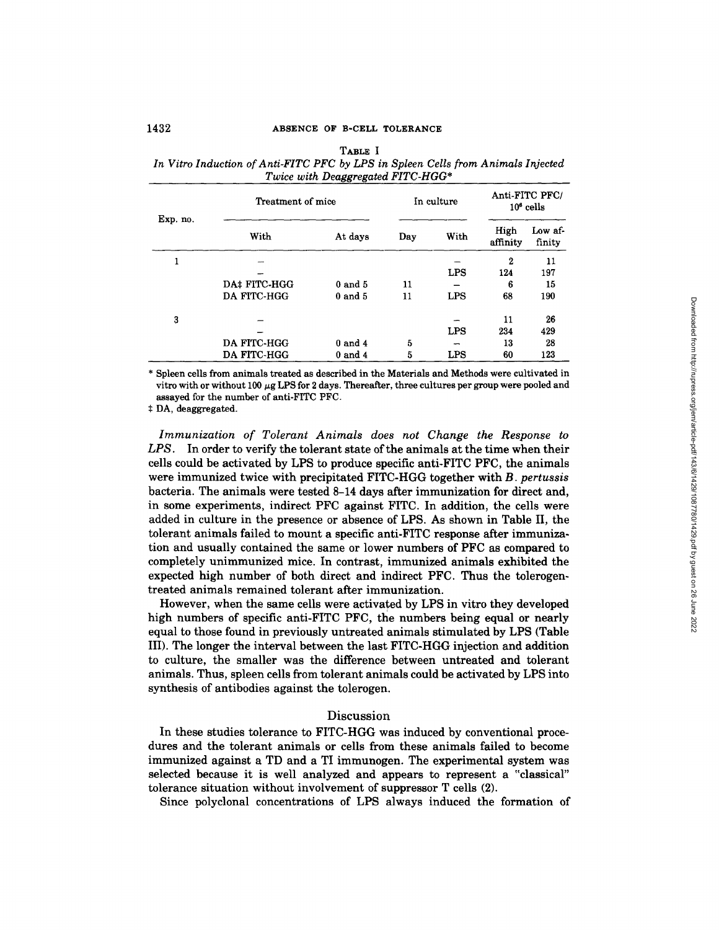TABLE I *In Vitro Induction of Anti-FITC PFC by LPS in Spleen Cells from Animals Injected Twice with Deaggregated FITC-HGG\** 

|          | Treatment of mice |             |     | In culture |                  | Anti-FITC PFC/<br>$106$ cells |
|----------|-------------------|-------------|-----|------------|------------------|-------------------------------|
| Exp. no. | With              | At days     | Day | With       | High<br>affinity | Low af-<br>finity             |
| 1        |                   |             |     |            | $\mathbf{2}$     | 11                            |
|          |                   |             |     | <b>LPS</b> | 124              | 197                           |
|          | DA‡ FITC-HGG      | $0$ and $5$ | 11  |            | 6                | 15                            |
|          | DA FITC-HGG       | $0$ and $5$ | 11  | LPS        | 68               | 190                           |
| 3        |                   |             |     |            | 11               | 26                            |
|          |                   |             |     | <b>LPS</b> | 234              | 429                           |
|          | DA FITC-HGG       | $0$ and $4$ | 5   |            | 13               | 28                            |
|          | DA FITC-HGG       | $0$ and $4$ | 5   | <b>LPS</b> | 60               | 123                           |

\* Spleen cells from animals treated as described in the Materials and Methods were cultivated in vitro with or without  $100 \mu$ g LPS for 2 days. Thereafter, three cultures per group were pooled and assayed for the number of anti-FITC PFC.

DA, deaggregated.

*Immunization of Tolerant Animals does not Change the Response to LPS.* In order to verify the tolerant state of the animals at the time when their cells could be activated by LPS to produce specific anti-FITC PFC, the animals were immunized twice with precipitated FITC-HGG together with *B. pertussis*  bacteria. The animals were tested 8-14 days after immunization for direct and, in some experiments, indirect PFC against FITC. In addition, the cells were added in culture in the presence or absence of LPS. As shown in Table II, the tolerant animals failed to mount a specific anti-FITC response after immunization and usually contained the same or lower numbers of PFC as compared to completely unimmunized mice. In contrast, immunized animals exhibited the expected high number of both direct and indirect PFC. Thus the tolerogentreated animals remained tolerant after immunization.

However, when the same cells were activated by LPS in vitro they developed high numbers of specific anti-FITC PFC, the numbers being equal or nearly equal to those found in previously untreated animals stimulated by LPS (Table III). The longer the interval between the last FITC-HGG injection and addition to culture, the smaller was the difference between untreated and tolerant animals. Thus, spleen cells from tolerant animals could be activated by LPS into synthesis of antibodies against the tolerogen.

# Discussion

In these studies tolerance to FITC-HGG was induced by conventional procedures and the tolerant animals or cells from these animals failed to become immunized against a TD and a TI immunogen. The experimental system was selected because it is well analyzed and appears to represent a "classical" tolerance situation without involvement of suppressor T cells (2).

Since polyclonal concentrations of LPS always induced the formation of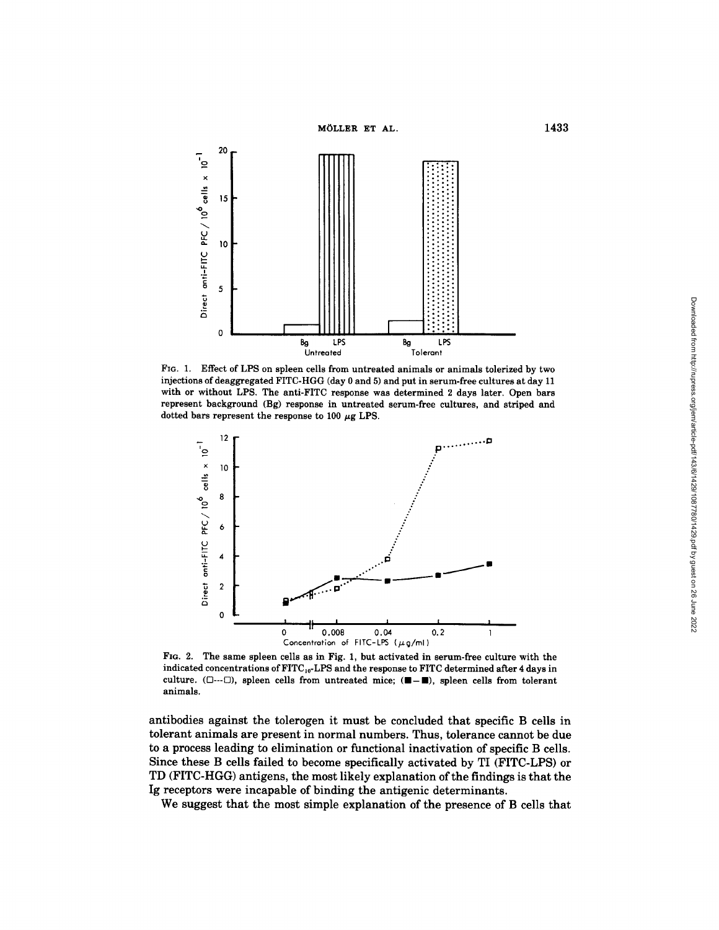

FIG. 1. Effect of LPS on spleen cells from untreated animals or animals tolerized by two injections of deaggregated FITC-HGG (day 0 and 5) and put in serum-free cultures at day 11 with or without LPS. The anti-FITC response was determined 2 days later. Open bars represent background (Bg) response in untreated serum-free cultures, and striped and dotted bars represent the response to  $100~\mu$ g LPS.



FIG. 2. The same spleen cells as in Fig. 1, but activated in serum-free culture with the indicated concentrations of  $\text{FITC}_{10}$ -LPS and the response to  $\text{FITC}$  determined after 4 days in culture.  $(\Box \cdots \Box)$ , spleen cells from untreated mice;  $(\blacksquare - \blacksquare)$ , spleen cells from tolerant animals.

**antibodies against the tolerogen it must be concluded that specific B cells in tolerant animals are present in normal numbers. Thus, tolerance cannot be due to a process leading to elimination or functional inactivation of specific B cells. Since these B cells failed to become specifically activated by TI (FITC-LPS) or TD (FITC-HGG) antigens, the most likely explanation of the findings is that the Ig receptors were incapable of binding the antigenic determinants.** 

**We suggest that the most simple explanation of the presence of B cells that**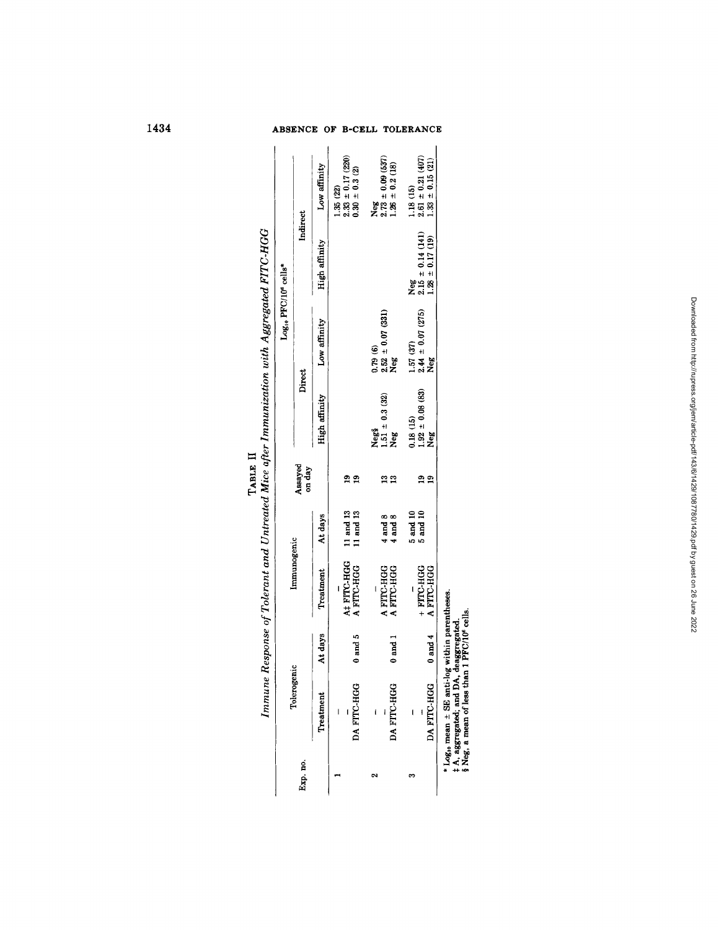|          |               |               |                                    |                                          |                   |                                         | immune Response of Toterant and Outleated Mice after Fundamismum which the Pattern Prince of The Pattern Prince |                                                      |                                                                                           |
|----------|---------------|---------------|------------------------------------|------------------------------------------|-------------------|-----------------------------------------|-----------------------------------------------------------------------------------------------------------------|------------------------------------------------------|-------------------------------------------------------------------------------------------|
|          |               |               |                                    |                                          |                   |                                         | Log <sub>10</sub> PFC/10 <sup>6</sup> cells*                                                                    |                                                      |                                                                                           |
| Exp. no. | Tolerogenic   |               | Immunogenic                        |                                          | Assayed<br>on day | Direct                                  |                                                                                                                 | Indirect                                             |                                                                                           |
|          | Treatment     | At days       | Treatment                          | At days                                  |                   | High affinity                           | Low affinity                                                                                                    | High affinity                                        | Low affinity                                                                              |
|          | DA FITC-HGG   | $0$ and $5$   | A# FITC-HGG<br>A FITC-HGG          | 11 and 13<br>11 and 13                   | 22                |                                         |                                                                                                                 |                                                      | $\begin{array}{c} 2.33 \pm 0.17 \; (220) \\ 0.30 \pm 0.3 \; (2) \end{array}$<br>1.35 (22) |
|          | DA FITC-HGG   | $0$ and $1$   | A FITC-HGG<br><b>FTTC-HGG</b><br>¢ | $4 \text{ and } 8$<br>$4 \text{ and } 8$ | $\frac{3}{13}$    | Neg\$<br>1.51 ± 0.3 (32)<br>Neg         | $\frac{0.79(6)}{2.52 \pm 0.07(331)}$<br>Neg                                                                     |                                                      | Neg<br>$2.73 \pm 0.09$ (537)<br>$1.26 \pm 0.2$ (18)                                       |
|          | DA FITC-HGG   | $0$ and $4$   | + FITC-HGG<br>A FITC-HGG           | $5$ and $10$<br>$5$ and $10$             | 2                 | $1.92 \pm 0.08$ (83)<br>0.18(15)<br>Neg | $1.57(37)$<br>$2.44 \pm 0.07(275)$<br>Neg                                                                       | Neg<br>2.15 $\pm$ 0.14 (141)<br>$1.28 \pm 0.17$ (19) | $2.61 \pm 0.21$ (407)<br>$1.33 \pm 0.15$ (21)<br>1.18(15)                                 |
|          | $\frac{1}{2}$ | $\frac{1}{2}$ |                                    |                                          |                   |                                         |                                                                                                                 |                                                      |                                                                                           |

*Immune Response of Tolerant and Untreated Mice after Immunization with Aggregated FITC-HGG*  **TABLE II**<br>the Mice offer Immunization with Aggregated FITC-HGG  $I_{intr}$ and.  $\alpha$ f  $T_{\alpha}$ lar,  $\ddot{\phantom{0}}$  $\mathbf{a}$  $Immn$ 

Log<sub>10</sub> mean  $\pm$  SE anti-log within parentheses. \* Log<sub>10</sub> mean  $\pm$  SE anti-log within parentheses.<br> $\pm$  A, aggregated; and DA, deaggregated.<br>§ Neg, a mean of less than 1 PFC/10<sup>6</sup> cells.

A, aggregated; and DA, deaggregated.

Neg, a mean of less than 1 PFC/10 cells.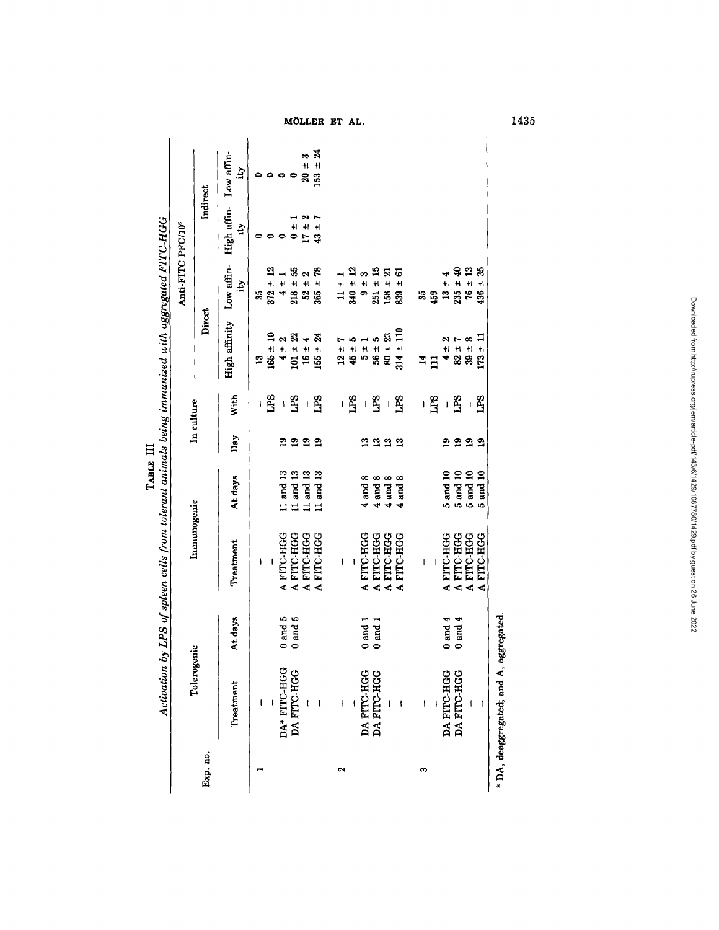|          |                            |             |             |              |                 |                                                                                                                                                                                                                                                                                                                                                                                                                |                                        | Anti-FITC PFC/10 <sup>6</sup>          |                               |               |
|----------|----------------------------|-------------|-------------|--------------|-----------------|----------------------------------------------------------------------------------------------------------------------------------------------------------------------------------------------------------------------------------------------------------------------------------------------------------------------------------------------------------------------------------------------------------------|----------------------------------------|----------------------------------------|-------------------------------|---------------|
| Exp. no. | Tolerogenic                |             | Immunogenic |              |                 | In culture                                                                                                                                                                                                                                                                                                                                                                                                     | Direct                                 |                                        | Indirect                      |               |
|          | Treatment                  | At days     | Treatment   | At days      | Day             | With                                                                                                                                                                                                                                                                                                                                                                                                           | High affinity                          | Low affin-<br>ity                      | High affin- Low affin-<br>ity | ity           |
|          |                            |             | ١           |              |                 |                                                                                                                                                                                                                                                                                                                                                                                                                | ឌ                                      | æ                                      | 0                             | 0             |
|          |                            |             | I           |              |                 | <b>GdT</b>                                                                                                                                                                                                                                                                                                                                                                                                     | $165 \pm 10$                           | $\mathbf{r}$<br>$372 +$                | 0                             | 0             |
|          | DA* FITC-HGG               | $0$ and $5$ | A FITC-HGG  | 11 and 13    | $\mathbf{a}$    | $\mathbf{I}$                                                                                                                                                                                                                                                                                                                                                                                                   | $4 \pm 2$                              | $\frac{1}{4}$                          | $\bullet$                     | $\circ$       |
|          | DA FITC-HGG                | $0$ and $5$ | A FITC-HGG  | 11 and 13    | $\overline{19}$ | <b>GdT</b>                                                                                                                                                                                                                                                                                                                                                                                                     | $101 \pm 22$                           | $218 + 55$                             | $\pm$<br>$\bullet$            | $\bullet$     |
|          | ł                          |             | A FITC-HGG  | 11 and 13    | $\mathbf{r}$    | $\mathbf{I}$                                                                                                                                                                                                                                                                                                                                                                                                   | $\blacktriangleleft$<br>$16 \pm$       | $\sim$<br>$52 \pm$                     | $+1$<br>$\mathbf{r}$          | m<br>$20 \pm$ |
|          |                            |             | A FITC-HGG  | 11 and 13    | $\mathbf{r}$    | <b>GdT</b>                                                                                                                                                                                                                                                                                                                                                                                                     | $\boldsymbol{\mathsf{z}}$<br>$155 \pm$ | 78<br>$365 \pm$                        | 1<br>$+$<br>្ន                | $153 \pm 24$  |
| ø        | $\overline{\phantom{a}}$   |             | 1           |              |                 | ł                                                                                                                                                                                                                                                                                                                                                                                                              | r<br>$12 \pm$                          | $11 \pm 1$                             |                               |               |
|          |                            |             |             |              |                 | <b>CAT</b>                                                                                                                                                                                                                                                                                                                                                                                                     | $45 \pm 5$                             | $340 \pm 12$                           |                               |               |
|          |                            | $0$ and $1$ | A FITC-HGG  | $4$ and $8$  | $\mathbf{r}$    | I                                                                                                                                                                                                                                                                                                                                                                                                              | $\frac{1}{2}$                          | S<br>$\frac{11}{9}$                    |                               |               |
|          | DA FITC-HGG<br>DA FITC-HGG | $0$ and $1$ | A FITC-HGG  | $4$ and $8$  | $\overline{13}$ | <b>Gar</b>                                                                                                                                                                                                                                                                                                                                                                                                     | $56 \pm 5$                             | $251 \pm 15$                           |                               |               |
|          | ١                          |             | A FITC-HGG  | and 8        | $\frac{3}{13}$  | $\mathbf{I}$                                                                                                                                                                                                                                                                                                                                                                                                   | $80 \pm 23$                            | $\overline{\mathbf{z}}$<br>$+1$<br>158 |                               |               |
|          |                            |             | A FITC-HGG  | and 8<br>÷   |                 | <b>Garl</b>                                                                                                                                                                                                                                                                                                                                                                                                    | $314 \pm 110$                          | 5<br>$+1$<br>839                       |                               |               |
| c        |                            |             | I           |              |                 | I                                                                                                                                                                                                                                                                                                                                                                                                              | $\mathbf{H}$                           | S                                      |                               |               |
|          |                            |             |             |              |                 | LPS                                                                                                                                                                                                                                                                                                                                                                                                            | $\Xi$                                  | 459                                    |                               |               |
|          |                            | $0$ and 4   | A FITC-HGG  | $5$ and $10$ | $\overline{a}$  | $\begin{array}{c} \rule{0pt}{2ex} \rule{0pt}{2ex} \rule{0pt}{2ex} \rule{0pt}{2ex} \rule{0pt}{2ex} \rule{0pt}{2ex} \rule{0pt}{2ex} \rule{0pt}{2ex} \rule{0pt}{2ex} \rule{0pt}{2ex} \rule{0pt}{2ex} \rule{0pt}{2ex} \rule{0pt}{2ex} \rule{0pt}{2ex} \rule{0pt}{2ex} \rule{0pt}{2ex} \rule{0pt}{2ex} \rule{0pt}{2ex} \rule{0pt}{2ex} \rule{0pt}{2ex} \rule{0pt}{2ex} \rule{0pt}{2ex} \rule{0pt}{2ex} \rule{0pt}{$ | N<br>$\ddot{+}$<br>4                   | $13 \pm$                               |                               |               |
|          | DA FITC-HGG<br>DA FITC-HGG | $0$ and $4$ | A FITC-HGG  | $5$ and $10$ | 29              | <b>GdT</b>                                                                                                                                                                                                                                                                                                                                                                                                     | $82 \pm 7$                             | $235 \pm 40$                           |                               |               |
|          |                            |             | A FITC-HGG  | $5$ and $10$ |                 | $\begin{array}{c} \rule{0pt}{2.5ex} \rule{0pt}{2.5ex} \rule{0pt}{2.5ex} \rule{0pt}{2.5ex} \rule{0pt}{2.5ex} \rule{0pt}{2.5ex} \rule{0pt}{2.5ex} \rule{0pt}{2.5ex} \rule{0pt}{2.5ex} \rule{0pt}{2.5ex} \rule{0pt}{2.5ex} \rule{0pt}{2.5ex} \rule{0pt}{2.5ex} \rule{0pt}{2.5ex} \rule{0pt}{2.5ex} \rule{0pt}{2.5ex} \rule{0pt}{2.5ex} \rule{0pt}{2.5ex} \rule{0pt}{2.5ex} \rule{0$                               | $39 \pm 8$                             | $76 \pm 13$                            |                               |               |
|          | ١                          |             | A FITC-HGG  | $5$ and $10$ | $\mathbf{a}$    | <b>GdT</b>                                                                                                                                                                                                                                                                                                                                                                                                     | $173 \pm 11$                           | 35<br>$436 \pm$                        |                               |               |

 $\Gamma$ ели.  $\Pi$ **TABLE** HI

t DD DD AT

**1435**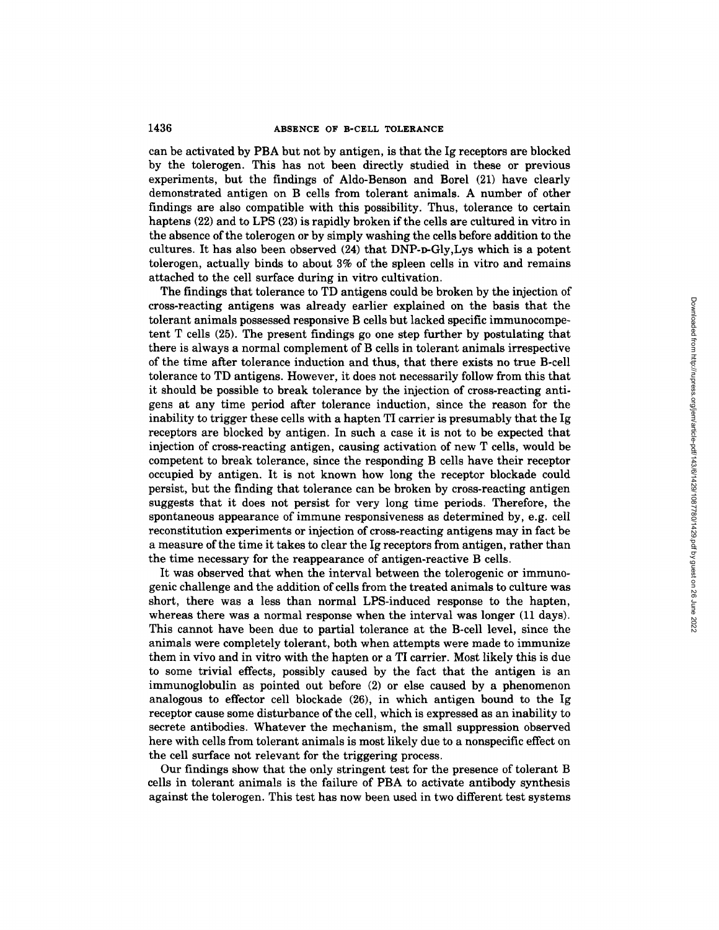can be activated by PBA but not by antigen, is that the Ig receptors are blocked by the tolerogen. This has not been directly studied in these or previous experiments, but the findings of Aldo-Benson and Borel (21) have clearly demonstrated antigen on B cells from tolerant animals. A number of other findings are also compatible with this possibility. Thus, tolerance to certain haptens (22) and to LPS (23) is rapidly broken if the cells are cultured in vitro in the absence of the tolerogen or by simply washing the cells before addition to the cultures. It has also been observed (24) that DNP-D-Gly,Lys which is a potent tolerogen, actually binds to about 3% of the spleen cells in vitro and remains attached to the cell surface during in vitro cultivation.

The findings that tolerance to TD antigens could be broken by the injection of cross-reacting antigens was already earlier explained on the basis that the tolerant animals possessed responsive B cells but lacked specific immunocompetent T cells (25). The present findings go one step further by postulating that there is always a normal complement of B cells in tolerant animals irrespective of the time after tolerance induction and thus, that there exists no true B-cell tolerance to TD antigens. However, it does not necessarily follow from this that it should be possible to break tolerance by the injection of cross-reacting antigens at any time period after tolerance induction, since the reason for the inability to trigger these cells with a hapten TI carrier is presumably that the Ig receptors are blocked by antigen. In such a case it is not to be expected that injection of cross-reacting antigen, causing activation of new T cells, would be competent to break tolerance, since the responding B cells have their receptor occupied by antigen. It is not known how long the receptor blockade could persist, but the finding that tolerance can be broken by cross-reacting antigen suggests that it does not persist for very long time periods. Therefore, the spontaneous appearance of immune responsiveness as determined by, e.g. cell reconstitution experiments or injection of cross-reacting antigens may in fact be a measure of the time it takes to clear the Ig receptors from antigen, rather than the time necessary for the reappearance of antigen-reactive B cells.

It was observed that when the interval between the tolerogenic or immunogenic challenge and the addition of cells from the treated animals to culture was short, there was a less than normal LPS-induced response to the hapten, whereas there was a normal response when the interval was longer (11 days). This cannot have been due to partial tolerance at the B-cell level, since the animals were completely tolerant, both when attempts were made to immunize them in vivo and in vitro with the hapten or a TI carrier. Most likely this is due to some trivial effects, possibly caused by the fact that the antigen is an immunoglobulin as pointed out before (2) or else caused by a phenomenon analogous to effector cell blockade (26), in which antigen bound to the Ig receptor cause some disturbance of the cell, which is expressed as an inability to secrete antibodies. Whatever the mechanism, the small suppression observed here with cells from tolerant animals is most likely due to a nonspecific effect on the cell surface not relevant for the triggering process.

Our findings show that the only stringent test for the presence of tolerant B cells in tolerant animals is the failure of PBA to activate antibody synthesis against the tolerogen. This test has now been used in two different test systems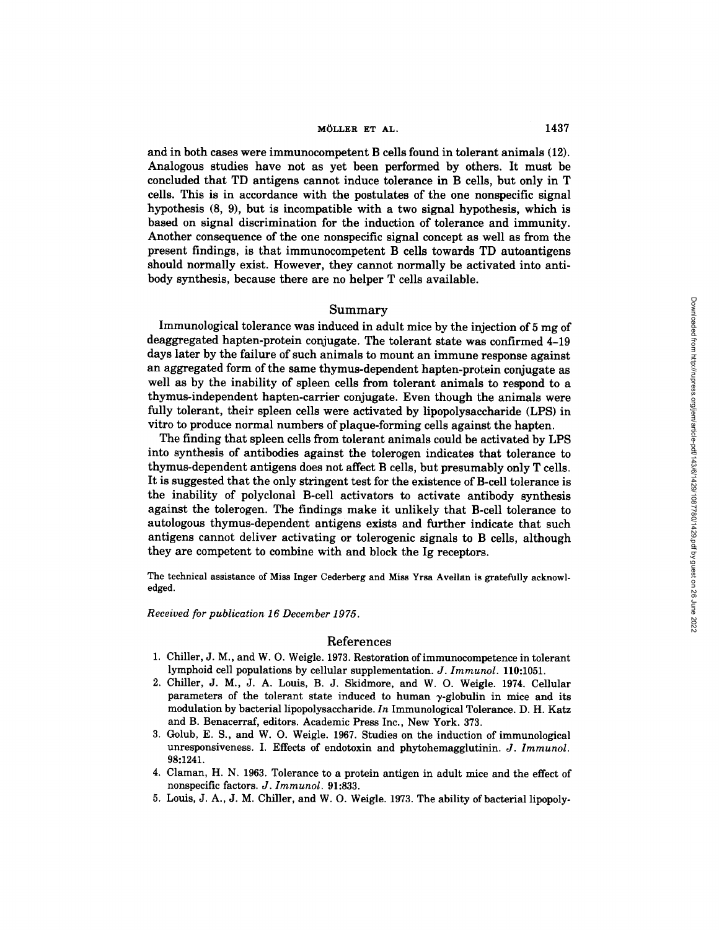## **M~LLER ET AL. 1437**

and in both cases were immunocompetent B cells found in tolerant animals (12). Analogous studies have not as yet been performed by others. It must be concluded that TD antigens cannot induce tolerance in B cells, but only in T cells. This is in accordance with the postulates of the one nonspecific signal hypothesis (8, 9), but is incompatible with a two signal hypothesis, which is based on signal discrimination for the induction of tolerance and immunity. Another consequence of the one nonspecific signal concept as well as from the present findings, is that immunocompetent B cells towards TD autoantigens should normally exist. However, they cannot normally be activated into antibody synthesis, because there are no helper T cells available.

# Summary

Immunological tolerance was induced in adult mice by the injection of 5 mg of deaggregated hapten-protein conjugate. The tolerant state was confirmed 4-19 days later by the failure of such animals to mount an immune response against an aggregated form of the same thymus-dependent hapten-protein conjugate as well as by the inability of spleen cells from tolerant animals to respond to a thymus-independent hapten-carrier conjugate. Even though the animals were fully tolerant, their spleen cells were activated by lipopolysaccharide (LPS) in vitro to produce normal numbers of plaque-forming cells against the hapten.

The finding that spleen cells from tolerant animals could be activated by LPS into synthesis of antibodies against the tolerogen indicates that tolerance to thymus-dependent antigens does not affect B cells, but presumably only T cells. It is suggested that the only stringent test for the existence of B-cell tolerance is the inability of polyclonal B-cell activators to activate antibody synthesis against the tolerogen. The findings make it unlikely that B-cell tolerance to autologous thymus-dependent antigens exists and further indicate that such antigens cannot deliver activating or tolerogenic signals to B cells, although they are competent to combine with and block the Ig receptors.

The technical assistance of Miss Inger Cederberg and Miss Yrsa Avellan is gratefully acknowledged.

*Received for publication 16 December 1975.* 

#### References

- 1. Chiller, J. M., and W. O. Weigle. 1973. Restoration ofimmunocompetence in tolerant lymphoid cell populations by cellular supplementation. *J. Immunol.* 110:1051.
- 2. Chiller, J. M., J. A. Louis, B. J. Skidmore, and W. O. Weigle. 1974. Cellular parameters of the tolerant state induced to human y-globulin in mice and its modulation by bacterial lipopolysaccharide. *In* Immunological Tolerance. D. H. Katz and B. Benacerraf, editors. Academic Press Inc., New York. 373.
- 3. Golub, E. S., and W. O. Weigle. 1967. Studies on the induction of immunological unresponsiveness. I. Effects of endotoxin and phytohemagglutinin. *J. Immunol.*  98:1241.
- 4. Claman, H. N. 1963. Tolerance to a protein antigen in adult mice and the effect of nonspecific factors. *J. Immunol.* 91:833.
- 5. Louis, J. A., J. M. Chiller, and W. O. Weigle. 1973. The ability of bacterial lipopoly-